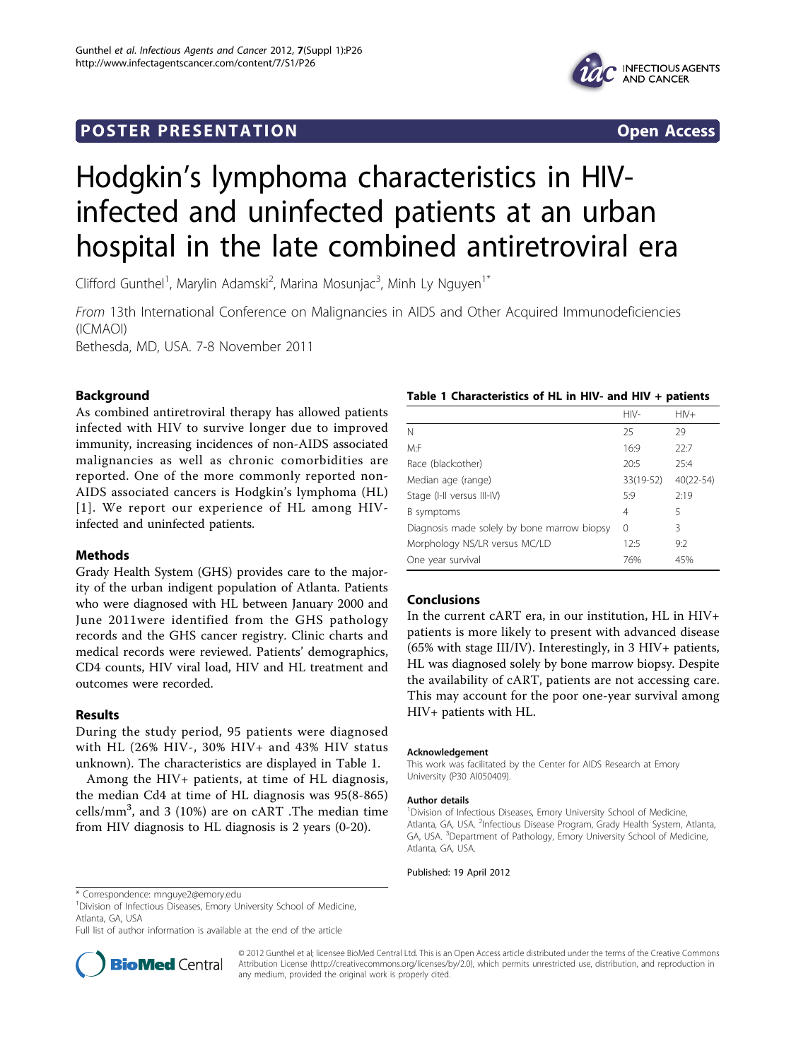# **POSTER PRESENTATION CONSUMING THE SERVICE SERVICE SERVICES**



# Hodgkin's lymphoma characteristics in HIVinfected and uninfected patients at an urban hospital in the late combined antiretroviral era

Clifford Gunthel<sup>1</sup>, Marylin Adamski<sup>2</sup>, Marina Mosunjac<sup>3</sup>, Minh Ly Nguyen<sup>1\*</sup>

From 13th International Conference on Malignancies in AIDS and Other Acquired Immunodeficiencies (ICMAOI)

Bethesda, MD, USA. 7-8 November 2011

# Background

As combined antiretroviral therapy has allowed patients infected with HIV to survive longer due to improved immunity, increasing incidences of non-AIDS associated malignancies as well as chronic comorbidities are reported. One of the more commonly reported non-AIDS associated cancers is Hodgkin's lymphoma (HL) [[1\]](#page-1-0). We report our experience of HL among HIVinfected and uninfected patients.

## Methods

Grady Health System (GHS) provides care to the majority of the urban indigent population of Atlanta. Patients who were diagnosed with HL between January 2000 and June 2011were identified from the GHS pathology records and the GHS cancer registry. Clinic charts and medical records were reviewed. Patients' demographics, CD4 counts, HIV viral load, HIV and HL treatment and outcomes were recorded.

# Results

During the study period, 95 patients were diagnosed with HL (26% HIV-, 30% HIV+ and 43% HIV status unknown). The characteristics are displayed in Table 1.

Among the HIV+ patients, at time of HL diagnosis, the median Cd4 at time of HL diagnosis was 95(8-865) cells/mm $^3$ , and 3 (10%) are on cART .The median time from HIV diagnosis to HL diagnosis is 2 years (0-20).

## Table 1 Characteristics of HL in HIV- and HIV + patients

|                                             | $HIV-$    | $HIV+$        |
|---------------------------------------------|-----------|---------------|
| N                                           | 25        | 29            |
| M: F                                        | 16:9      | 22:7          |
| Race (black:other)                          | 20:5      | 25:4          |
| Median age (range)                          | 33(19-52) | $40(22 - 54)$ |
| Stage (I-II versus III-IV)                  | 5:9       | 2:19          |
| B symptoms                                  | 4         | 5             |
| Diagnosis made solely by bone marrow biopsy | $\Omega$  | 3             |
| Morphology NS/LR versus MC/LD               | 12:5      | 9:2           |
| One year survival                           | 76%       | 45%           |

## Conclusions

In the current cART era, in our institution, HL in HIV+ patients is more likely to present with advanced disease (65% with stage III/IV). Interestingly, in 3 HIV+ patients, HL was diagnosed solely by bone marrow biopsy. Despite the availability of cART, patients are not accessing care. This may account for the poor one-year survival among HIV+ patients with HL.

#### Acknowledgement

This work was facilitated by the Center for AIDS Research at Emory University (P30 AI050409).

#### Author details

<sup>1</sup> Division of Infectious Diseases, Emory University School of Medicine, Atlanta, GA, USA. <sup>2</sup>Infectious Disease Program, Grady Health System, Atlanta GA, USA. <sup>3</sup>Department of Pathology, Emory University School of Medicine Atlanta, GA, USA.

Published: 19 April 2012

<sup>1</sup> Division of Infectious Diseases, Emory University School of Medicine, Atlanta, GA, USA

Full list of author information is available at the end of the article



© 2012 Gunthel et al; licensee BioMed Central Ltd. This is an Open Access article distributed under the terms of the Creative Commons Attribution License [\(http://creativecommons.org/licenses/by/2.0](http://creativecommons.org/licenses/by/2.0)), which permits unrestricted use, distribution, and reproduction in any medium, provided the original work is properly cited.

<sup>\*</sup> Correspondence: [mnguye2@emory.edu](mailto:mnguye2@emory.edu)